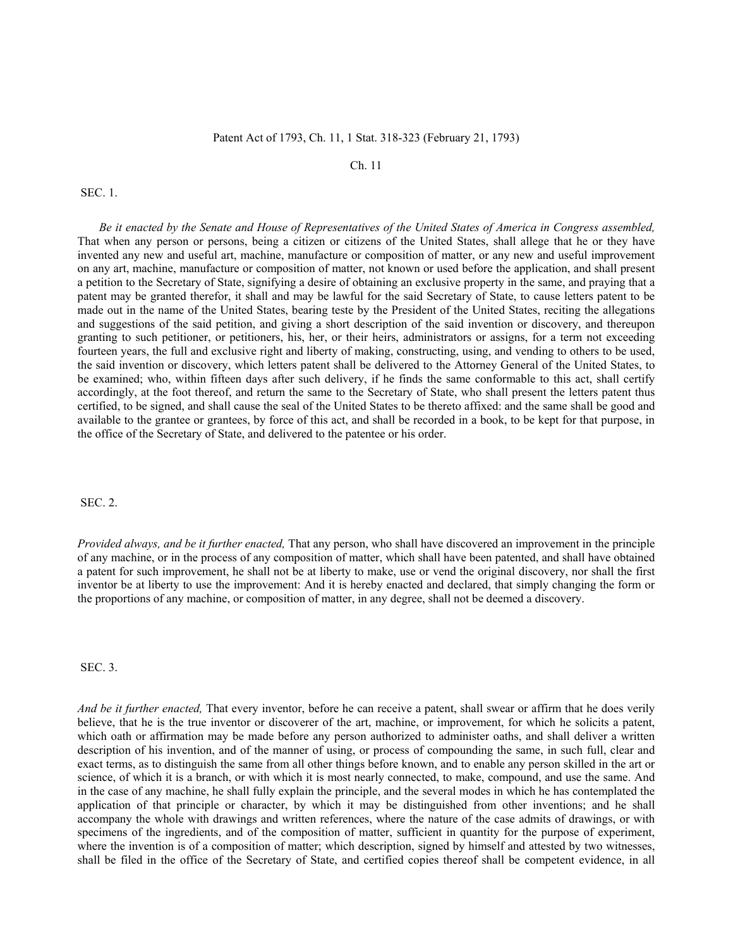# Patent Act of 1793, Ch. 11, 1 Stat. 318-323 (February 21, 1793)

### Ch. 11

#### SEC. 1.

*Be it enacted by the Senate and House of Representatives of the United States of America in Congress assembled,* That when any person or persons, being a citizen or citizens of the United States, shall allege that he or they have invented any new and useful art, machine, manufacture or composition of matter, or any new and useful improvement on any art, machine, manufacture or composition of matter, not known or used before the application, and shall present a petition to the Secretary of State, signifying a desire of obtaining an exclusive property in the same, and praying that a patent may be granted therefor, it shall and may be lawful for the said Secretary of State, to cause letters patent to be made out in the name of the United States, bearing teste by the President of the United States, reciting the allegations and suggestions of the said petition, and giving a short description of the said invention or discovery, and thereupon granting to such petitioner, or petitioners, his, her, or their heirs, administrators or assigns, for a term not exceeding fourteen years, the full and exclusive right and liberty of making, constructing, using, and vending to others to be used, the said invention or discovery, which letters patent shall be delivered to the Attorney General of the United States, to be examined; who, within fifteen days after such delivery, if he finds the same conformable to this act, shall certify accordingly, at the foot thereof, and return the same to the Secretary of State, who shall present the letters patent thus certified, to be signed, and shall cause the seal of the United States to be thereto affixed: and the same shall be good and available to the grantee or grantees, by force of this act, and shall be recorded in a book, to be kept for that purpose, in the office of the Secretary of State, and delivered to the patentee or his order.

### SEC. 2.

*Provided always, and be it further enacted,* That any person, who shall have discovered an improvement in the principle of any machine, or in the process of any composition of matter, which shall have been patented, and shall have obtained a patent for such improvement, he shall not be at liberty to make, use or vend the original discovery, nor shall the first inventor be at liberty to use the improvement: And it is hereby enacted and declared, that simply changing the form or the proportions of any machine, or composition of matter, in any degree, shall not be deemed a discovery.

SEC. 3.

*And be it further enacted,* That every inventor, before he can receive a patent, shall swear or affirm that he does verily believe, that he is the true inventor or discoverer of the art, machine, or improvement, for which he solicits a patent, which oath or affirmation may be made before any person authorized to administer oaths, and shall deliver a written description of his invention, and of the manner of using, or process of compounding the same, in such full, clear and exact terms, as to distinguish the same from all other things before known, and to enable any person skilled in the art or science, of which it is a branch, or with which it is most nearly connected, to make, compound, and use the same. And in the case of any machine, he shall fully explain the principle, and the several modes in which he has contemplated the application of that principle or character, by which it may be distinguished from other inventions; and he shall accompany the whole with drawings and written references, where the nature of the case admits of drawings, or with specimens of the ingredients, and of the composition of matter, sufficient in quantity for the purpose of experiment, where the invention is of a composition of matter; which description, signed by himself and attested by two witnesses, shall be filed in the office of the Secretary of State, and certified copies thereof shall be competent evidence, in all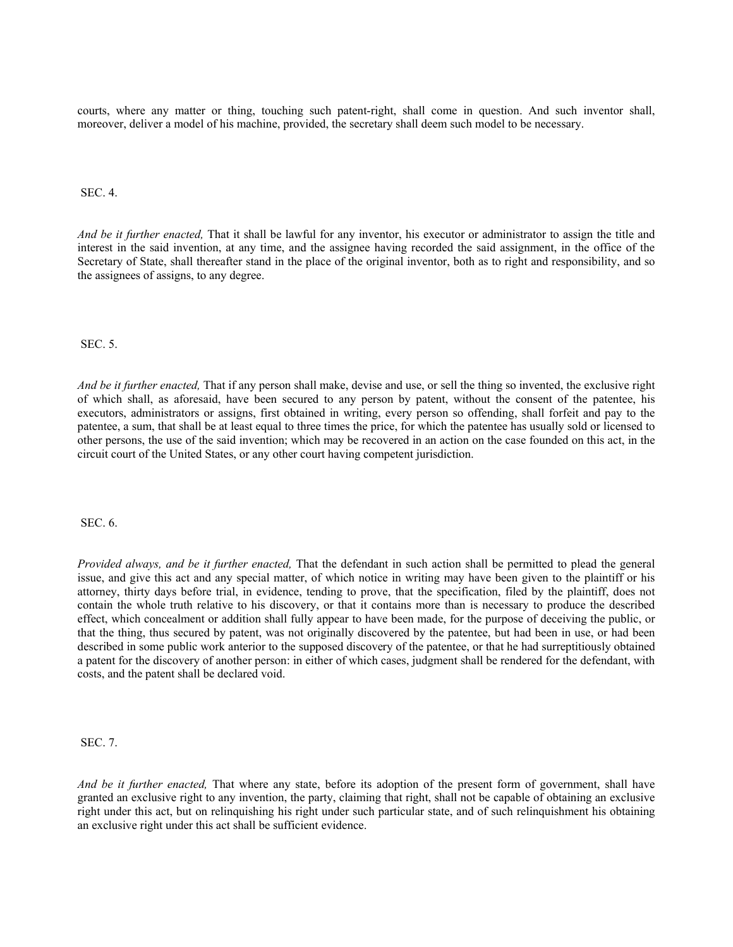courts, where any matter or thing, touching such patent-right, shall come in question. And such inventor shall, moreover, deliver a model of his machine, provided, the secretary shall deem such model to be necessary.

### SEC. 4.

*And be it further enacted,* That it shall be lawful for any inventor, his executor or administrator to assign the title and interest in the said invention, at any time, and the assignee having recorded the said assignment, in the office of the Secretary of State, shall thereafter stand in the place of the original inventor, both as to right and responsibility, and so the assignees of assigns, to any degree.

SEC. 5.

*And be it further enacted,* That if any person shall make, devise and use, or sell the thing so invented, the exclusive right of which shall, as aforesaid, have been secured to any person by patent, without the consent of the patentee, his executors, administrators or assigns, first obtained in writing, every person so offending, shall forfeit and pay to the patentee, a sum, that shall be at least equal to three times the price, for which the patentee has usually sold or licensed to other persons, the use of the said invention; which may be recovered in an action on the case founded on this act, in the circuit court of the United States, or any other court having competent jurisdiction.

SEC. 6.

*Provided always, and be it further enacted,* That the defendant in such action shall be permitted to plead the general issue, and give this act and any special matter, of which notice in writing may have been given to the plaintiff or his attorney, thirty days before trial, in evidence, tending to prove, that the specification, filed by the plaintiff, does not contain the whole truth relative to his discovery, or that it contains more than is necessary to produce the described effect, which concealment or addition shall fully appear to have been made, for the purpose of deceiving the public, or that the thing, thus secured by patent, was not originally discovered by the patentee, but had been in use, or had been described in some public work anterior to the supposed discovery of the patentee, or that he had surreptitiously obtained a patent for the discovery of another person: in either of which cases, judgment shall be rendered for the defendant, with costs, and the patent shall be declared void.

SEC. 7.

*And be it further enacted,* That where any state, before its adoption of the present form of government, shall have granted an exclusive right to any invention, the party, claiming that right, shall not be capable of obtaining an exclusive right under this act, but on relinquishing his right under such particular state, and of such relinquishment his obtaining an exclusive right under this act shall be sufficient evidence.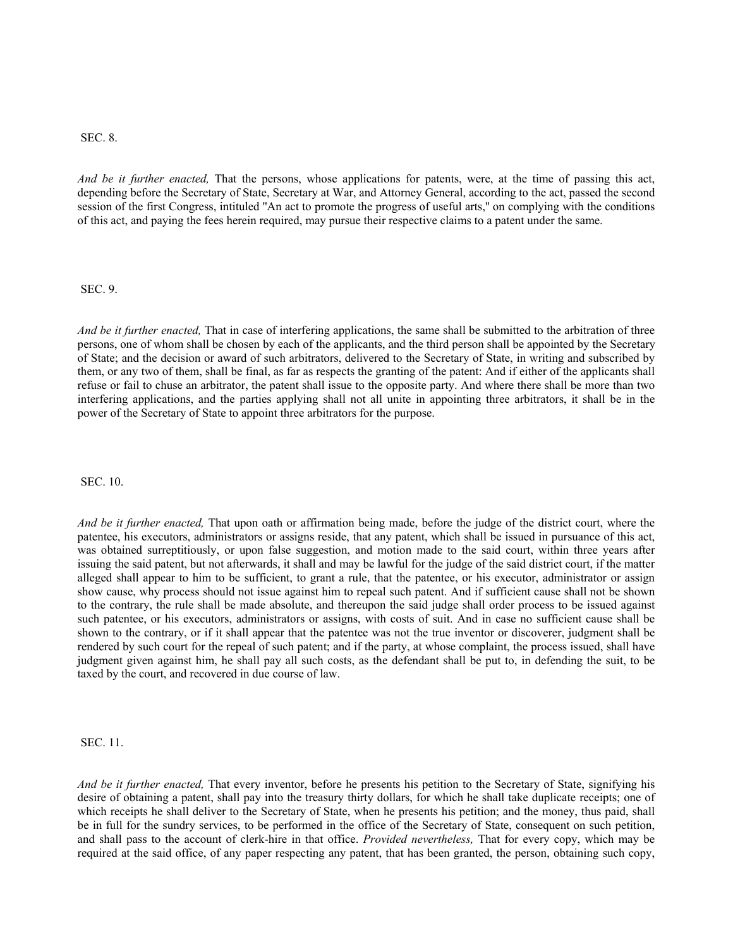## SEC. 8.

*And be it further enacted,* That the persons, whose applications for patents, were, at the time of passing this act, depending before the Secretary of State, Secretary at War, and Attorney General, according to the act, passed the second session of the first Congress, intituled ''An act to promote the progress of useful arts,'' on complying with the conditions of this act, and paying the fees herein required, may pursue their respective claims to a patent under the same.

### SEC. 9.

*And be it further enacted,* That in case of interfering applications, the same shall be submitted to the arbitration of three persons, one of whom shall be chosen by each of the applicants, and the third person shall be appointed by the Secretary of State; and the decision or award of such arbitrators, delivered to the Secretary of State, in writing and subscribed by them, or any two of them, shall be final, as far as respects the granting of the patent: And if either of the applicants shall refuse or fail to chuse an arbitrator, the patent shall issue to the opposite party. And where there shall be more than two interfering applications, and the parties applying shall not all unite in appointing three arbitrators, it shall be in the power of the Secretary of State to appoint three arbitrators for the purpose.

SEC. 10.

*And be it further enacted,* That upon oath or affirmation being made, before the judge of the district court, where the patentee, his executors, administrators or assigns reside, that any patent, which shall be issued in pursuance of this act, was obtained surreptitiously, or upon false suggestion, and motion made to the said court, within three years after issuing the said patent, but not afterwards, it shall and may be lawful for the judge of the said district court, if the matter alleged shall appear to him to be sufficient, to grant a rule, that the patentee, or his executor, administrator or assign show cause, why process should not issue against him to repeal such patent. And if sufficient cause shall not be shown to the contrary, the rule shall be made absolute, and thereupon the said judge shall order process to be issued against such patentee, or his executors, administrators or assigns, with costs of suit. And in case no sufficient cause shall be shown to the contrary, or if it shall appear that the patentee was not the true inventor or discoverer, judgment shall be rendered by such court for the repeal of such patent; and if the party, at whose complaint, the process issued, shall have judgment given against him, he shall pay all such costs, as the defendant shall be put to, in defending the suit, to be taxed by the court, and recovered in due course of law.

SEC. 11.

*And be it further enacted,* That every inventor, before he presents his petition to the Secretary of State, signifying his desire of obtaining a patent, shall pay into the treasury thirty dollars, for which he shall take duplicate receipts; one of which receipts he shall deliver to the Secretary of State, when he presents his petition; and the money, thus paid, shall be in full for the sundry services, to be performed in the office of the Secretary of State, consequent on such petition, and shall pass to the account of clerk-hire in that office. *Provided nevertheless,* That for every copy, which may be required at the said office, of any paper respecting any patent, that has been granted, the person, obtaining such copy,